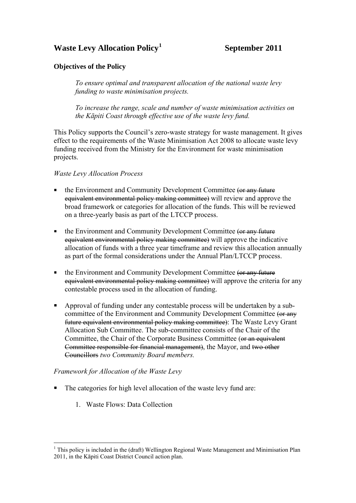# **Waste Levy Allocation Policy[1](#page-0-0)**

 **September 2011** 

#### **Objectives of the Policy**

*To ensure optimal and transparent allocation of the national waste levy funding to waste minimisation projects.* 

*To increase the range, scale and number of waste minimisation activities on the Kāpiti Coast through effective use of the waste levy fund.*

This Policy supports the Council's zero-waste strategy for waste management. It gives effect to the requirements of the Waste Minimisation Act 2008 to allocate waste levy funding received from the Ministry for the Environment for waste minimisation projects.

#### *Waste Levy Allocation Process*

- the Environment and Community Development Committee (or any future equivalent environmental policy making committee) will review and approve the broad framework or categories for allocation of the funds. This will be reviewed on a three-yearly basis as part of the LTCCP process.
- the Environment and Community Development Committee (or any future equivalent environmental policy making committee) will approve the indicative allocation of funds with a three year timeframe and review this allocation annually as part of the formal considerations under the Annual Plan/LTCCP process.
- the Environment and Community Development Committee (or any future equivalent environmental policy making committee) will approve the criteria for any contestable process used in the allocation of funding.
- Approval of funding under any contestable process will be undertaken by a subcommittee of the Environment and Community Development Committee (or any future equivalent environmental policy making committee): The Waste Levy Grant Allocation Sub Committee. The sub-committee consists of the Chair of the Committee, the Chair of the Corporate Business Committee (or an equivalent Committee responsible for financial management), the Mayor, and two other Councillors *two Community Board members.*

#### *Framework for Allocation of the Waste Levy*

- The categories for high level allocation of the waste levy fund are:
	- 1. Waste Flows: Data Collection

 $\overline{a}$ 

<span id="page-0-0"></span><sup>&</sup>lt;sup>1</sup> This policy is included in the (draft) Wellington Regional Waste Management and Minimisation Plan 2011, in the Kāpiti Coast District Council action plan.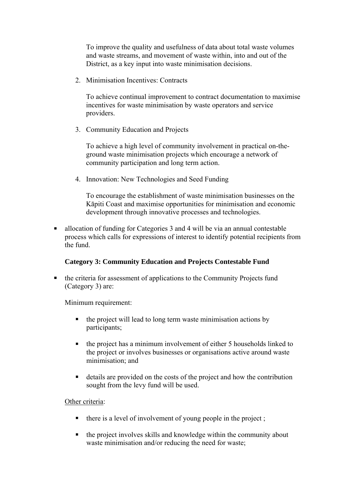To improve the quality and usefulness of data about total waste volumes and waste streams, and movement of waste within, into and out of the District, as a key input into waste minimisation decisions.

2 Minimisation Incentives: Contracts

To achieve continual improvement to contract documentation to maximise incentives for waste minimisation by waste operators and service providers.

3. Community Education and Projects

To achieve a high level of community involvement in practical on-theground waste minimisation projects which encourage a network of community participation and long term action.

4. Innovation: New Technologies and Seed Funding

To encourage the establishment of waste minimisation businesses on the Kāpiti Coast and maximise opportunities for minimisation and economic development through innovative processes and technologies.

 allocation of funding for Categories 3 and 4 will be via an annual contestable process which calls for expressions of interest to identify potential recipients from the fund.

### **Category 3: Community Education and Projects Contestable Fund**

 the criteria for assessment of applications to the Community Projects fund (Category 3) are:

Minimum requirement:

- the project will lead to long term waste minimisation actions by participants;
- the project has a minimum involvement of either 5 households linked to the project or involves businesses or organisations active around waste minimisation; and
- details are provided on the costs of the project and how the contribution sought from the levy fund will be used.

#### Other criteria:

- $\blacksquare$  there is a level of involvement of young people in the project;
- the project involves skills and knowledge within the community about waste minimisation and/or reducing the need for waste;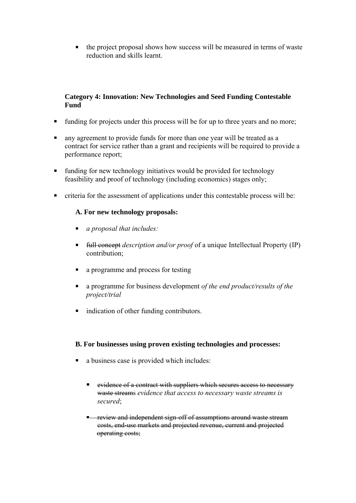the project proposal shows how success will be measured in terms of waste reduction and skills learnt.

### **Category 4: Innovation: New Technologies and Seed Funding Contestable Fund**

- funding for projects under this process will be for up to three years and no more;
- **a** any agreement to provide funds for more than one year will be treated as a contract for service rather than a grant and recipients will be required to provide a performance report;
- funding for new technology initiatives would be provided for technology feasibility and proof of technology (including economics) stages only;
- criteria for the assessment of applications under this contestable process will be:

## **A. For new technology proposals:**

- *a proposal that includes:*
- full concept *description and/or proof* of a unique Intellectual Property (IP) contribution;
- a programme and process for testing
- a programme for business development *of the end product/results of the project/trial*
- **ightharrow indication of other funding contributors.**

### **B. For businesses using proven existing technologies and processes:**

- a business case is provided which includes:
	- evidence of a contract with suppliers which secures access to necessary waste streams *evidence that access to necessary waste streams is secured*;
	- **F** review and independent sign-off of assumptions around waste stream costs, end-use markets and projected revenue, current and projected operating costs;